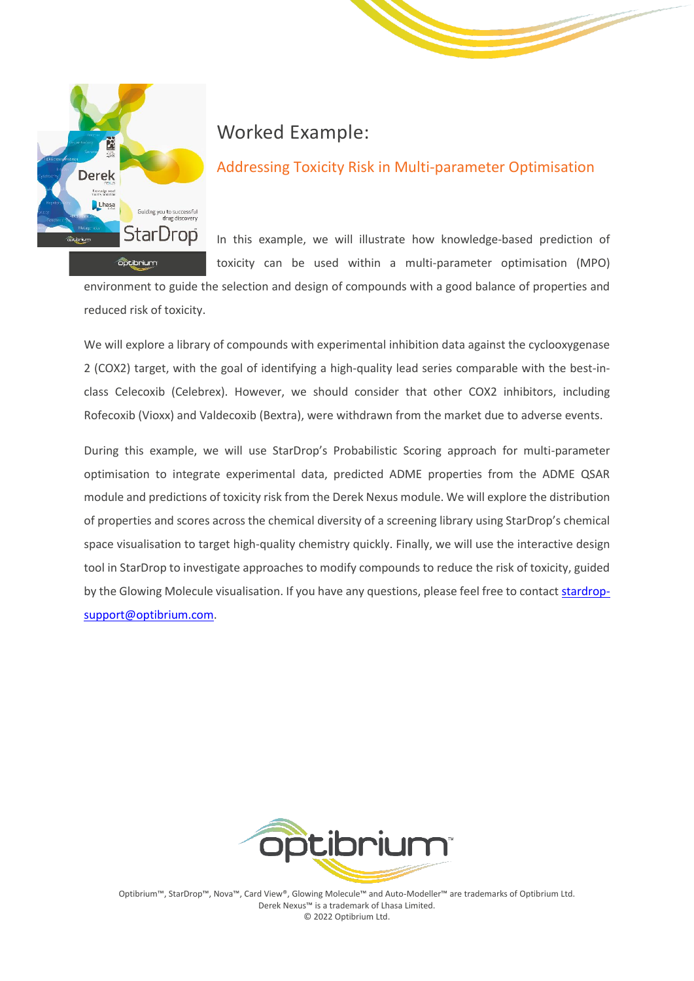

# Worked Example:

### Addressing Toxicity Risk in Multi-parameter Optimisation

In this example, we will illustrate how knowledge-based prediction of toxicity can be used within a multi-parameter optimisation (MPO)

environment to guide the selection and design of compounds with a good balance of properties and reduced risk of toxicity.

We will explore a library of compounds with experimental inhibition data against the cyclooxygenase 2 (COX2) target, with the goal of identifying a high-quality lead series comparable with the best-inclass Celecoxib (Celebrex). However, we should consider that other COX2 inhibitors, including Rofecoxib (Vioxx) and Valdecoxib (Bextra), were withdrawn from the market due to adverse events.

During this example, we will use StarDrop's Probabilistic Scoring approach for multi-parameter optimisation to integrate experimental data, predicted ADME properties from the ADME QSAR module and predictions of toxicity risk from the Derek Nexus module. We will explore the distribution of properties and scores across the chemical diversity of a screening library using StarDrop's chemical space visualisation to target high-quality chemistry quickly. Finally, we will use the interactive design tool in StarDrop to investigate approaches to modify compounds to reduce the risk of toxicity, guided by the Glowing Molecule visualisation. If you have any questions, please feel free to contac[t stardrop](mailto:stardrop-support@optibrium.com)[support@optibrium.com.](mailto:stardrop-support@optibrium.com)



Optibrium™, StarDrop™, Nova™, Card View®, Glowing Molecule™ and Auto-Modeller™ are trademarks of Optibrium Ltd. Derek Nexus™ is a trademark of Lhasa Limited. © 2022 Optibrium Ltd.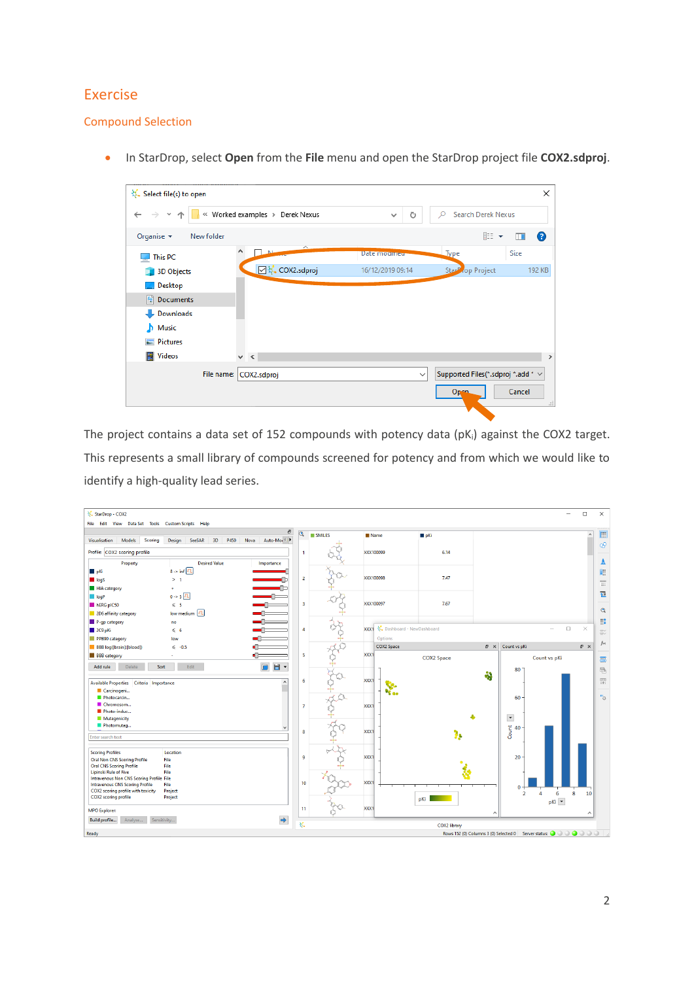### Exercise

#### Compound Selection

• In StarDrop, select **Open** from the **File** menu and open the StarDrop project file **COX2.sdproj**.

| Select file(s) to open                           |                                 |                      |              |                                         | ×                  |
|--------------------------------------------------|---------------------------------|----------------------|--------------|-----------------------------------------|--------------------|
| $\leftarrow$ $\rightarrow$<br>$\rightsquigarrow$ | « Worked examples » Derek Nexus | $\checkmark$         | Ō            | <b>Search Derek Nexus</b><br>Ω          |                    |
| Organise $\blacktriangleright$<br>New folder     |                                 |                      |              | 胆→                                      | Q<br>m             |
| This PC                                          | ∧<br>A.<br>$\Delta$             | <b>Date modified</b> |              | Type                                    | Size               |
| <b>3D Objects</b>                                | ☑ ↓ COX2.sdproj                 | 16/12/2019 09:14     |              | Star <sup>p</sup> , op Project          | 192 KB             |
| Desktop                                          |                                 |                      |              |                                         |                    |
| 麠<br>Documents                                   |                                 |                      |              |                                         |                    |
| Downloads                                        |                                 |                      |              |                                         |                    |
| Music                                            |                                 |                      |              |                                         |                    |
| <b>Pictures</b>                                  |                                 |                      |              |                                         |                    |
| <b>Videos</b>                                    | $\vee$ <                        |                      |              |                                         | $\rightarrow$      |
| File name:                                       | COX2.sdproj                     |                      | $\checkmark$ | Supported Files(*.sdproj *.add * $\vee$ |                    |
|                                                  |                                 |                      |              | Open.                                   | Cancel<br>$\ldots$ |
|                                                  |                                 |                      |              |                                         |                    |

The project contains a data set of 152 compounds with potency data (pK<sub>i</sub>) against the COX2 target. This represents a small library of compounds screened for potency and from which we would like to identify a high-quality lead series.

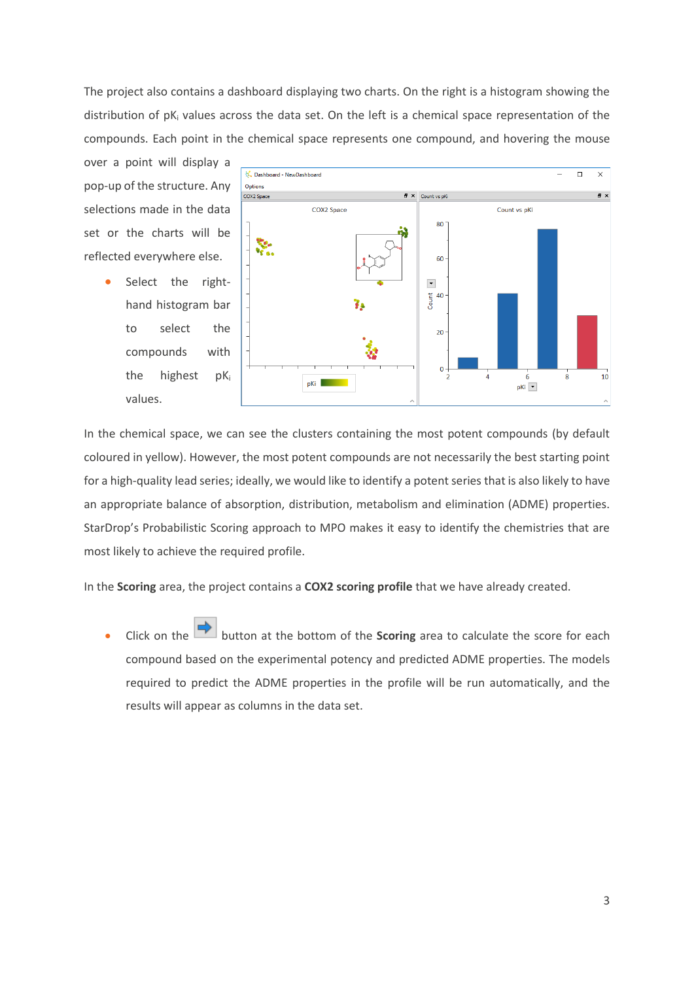The project also contains a dashboard displaying two charts. On the right is a histogram showing the distribution of pK<sup>i</sup> values across the data set. On the left is a chemical space representation of the compounds. Each point in the chemical space represents one compound, and hovering the mouse

over a point will display a pop-up of the structure. Any selections made in the data set or the charts will be reflected everywhere else.

> • Select the righthand histogram bar to select the compounds with the highest pK<sub>i</sub> values.



In the chemical space, we can see the clusters containing the most potent compounds (by default coloured in yellow). However, the most potent compounds are not necessarily the best starting point for a high-quality lead series; ideally, we would like to identify a potent series that is also likely to have an appropriate balance of absorption, distribution, metabolism and elimination (ADME) properties. StarDrop's Probabilistic Scoring approach to MPO makes it easy to identify the chemistries that are most likely to achieve the required profile.

In the **Scoring** area, the project contains a **COX2 scoring profile** that we have already created.

• Click on the button at the bottom of the **Scoring** area to calculate the score for each compound based on the experimental potency and predicted ADME properties. The models required to predict the ADME properties in the profile will be run automatically, and the results will appear as columns in the data set.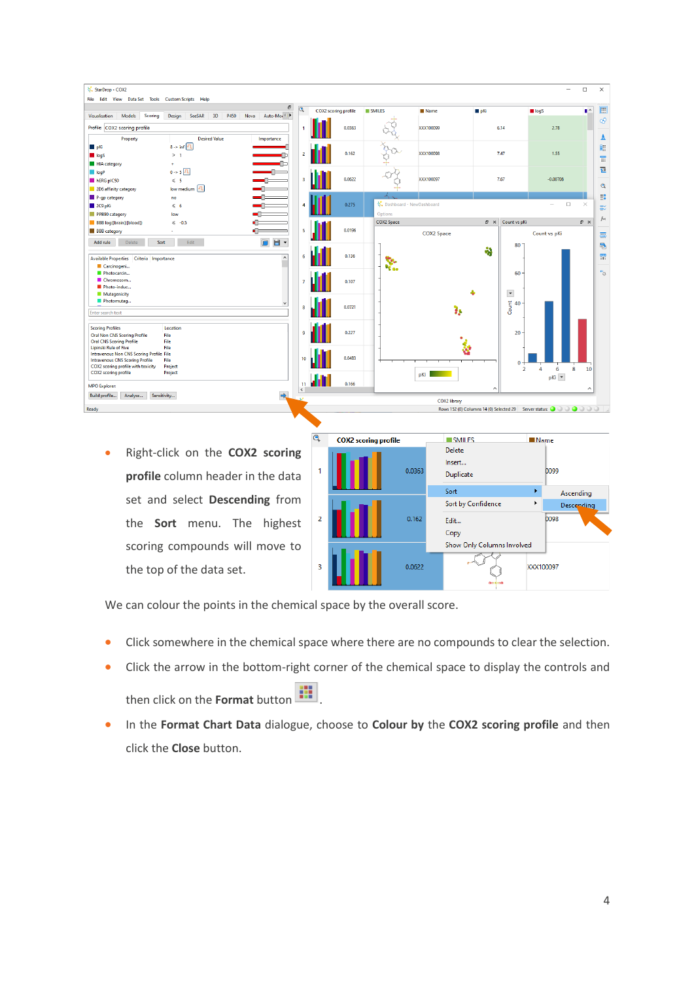| StarDrop - COX2<br>File Edit View Data Set Tools Custom Scripts Help |                                                                                    |                         |                             |        |                          |                   |                       |                      |                                                                                                                                                            | $\Box$         | $\times$       |
|----------------------------------------------------------------------|------------------------------------------------------------------------------------|-------------------------|-----------------------------|--------|--------------------------|-------------------|-----------------------|----------------------|------------------------------------------------------------------------------------------------------------------------------------------------------------|----------------|----------------|
| <b>Scoring</b><br>Visualisation<br>Models                            | $\varXi$<br>SeeSAR<br>3D<br>P450<br><b>Design</b><br>Nova<br>Auto-Mor <sup>4</sup> | $\overline{\mathbf{Q}}$ | <b>COX2</b> scoring profile |        | SMILES                   | Name              | $p$ Ki                |                      | logS                                                                                                                                                       | $\blacksquare$ | 圓              |
| Profile: COX2 scoring profile                                        |                                                                                    |                         |                             | 0.0363 |                          | XXX100099         |                       | 6.14                 | 2.78                                                                                                                                                       |                | Q <sub>1</sub> |
| Property                                                             | <b>Desired Value</b><br>Importance                                                 |                         |                             |        |                          |                   |                       |                      |                                                                                                                                                            |                | A              |
| $p$ Ki                                                               | $8 \rightarrow \inf$ TL                                                            |                         |                             |        |                          |                   |                       |                      |                                                                                                                                                            |                |                |
| $\blacksquare$ logS                                                  | >1                                                                                 | $\overline{2}$          |                             | 0.162  |                          | XXX100098         |                       | 7.47                 | 1.55                                                                                                                                                       |                | 里              |
|                                                                      | <u>ana</u> p                                                                       |                         |                             |        |                          |                   |                       |                      |                                                                                                                                                            |                | 雷              |
| HIA category                                                         |                                                                                    |                         |                             |        |                          |                   |                       |                      |                                                                                                                                                            |                | 包              |
| logP                                                                 | $0 - 5$ $\boxed{7}$<br>-n-                                                         |                         |                             | 0.0622 |                          | XXX100097         |                       | 7.67                 | $-0.00708$                                                                                                                                                 |                |                |
| hERG pIC50                                                           | $\leqslant$ 5                                                                      | $\overline{\mathbf{3}}$ |                             |        |                          |                   |                       |                      |                                                                                                                                                            |                | $\mathbf{Q}$   |
| 2D6 affinity category                                                | low medium TL                                                                      |                         |                             |        |                          |                   |                       |                      |                                                                                                                                                            |                |                |
| P-qp category                                                        | no                                                                                 |                         |                             |        |                          |                   |                       |                      |                                                                                                                                                            |                | 群              |
| 2C9pKi                                                               | $\leqslant 6$                                                                      | А                       |                             | 0.275  | Dashboard - NewDashboard |                   |                       |                      | $\Box$<br>$\overline{\phantom{a}}$                                                                                                                         | $\times$       | 影              |
| PPB90 category                                                       | low                                                                                |                         |                             |        | Options                  |                   |                       |                      |                                                                                                                                                            |                |                |
| BBB log([brain]:[blood])                                             | $\leq$ -0.5                                                                        |                         |                             |        | <b>COX2 Space</b>        |                   | $\bar{\sigma} \times$ | Count vs pKi         |                                                                                                                                                            | a x            | fix            |
| <b>BBB</b> category                                                  | ÷.                                                                                 | ß,                      |                             | 0.0196 |                          | <b>COX2 Space</b> |                       |                      | Count vs pKi                                                                                                                                               |                | 靐              |
| Delete<br>Add rule<br>Sort                                           | $\blacksquare$<br>日、<br>Edit                                                       |                         |                             |        |                          |                   |                       | 80                   |                                                                                                                                                            |                | 最              |
|                                                                      |                                                                                    |                         |                             |        |                          |                   | ÷                     |                      |                                                                                                                                                            |                |                |
| Available Properties Criteria Importance                             | $\boldsymbol{\wedge}$                                                              | 6                       |                             | 0.136  | R.                       |                   |                       |                      |                                                                                                                                                            |                | 盟              |
| Carcinogeni                                                          |                                                                                    |                         |                             |        | ч.                       |                   |                       |                      |                                                                                                                                                            |                |                |
| Photocarcin                                                          |                                                                                    |                         |                             |        |                          |                   |                       | 60                   |                                                                                                                                                            |                | $n_{\odot}$    |
| Chromosom                                                            |                                                                                    |                         |                             | 0.107  |                          |                   |                       |                      |                                                                                                                                                            |                |                |
| Photo-induc                                                          |                                                                                    |                         |                             |        |                          |                   |                       |                      |                                                                                                                                                            |                |                |
| <b>Mutagenicity</b>                                                  |                                                                                    |                         |                             |        |                          |                   |                       | $\blacktriangledown$ |                                                                                                                                                            |                |                |
| Photomutaq                                                           |                                                                                    | R                       |                             | 0.0721 |                          |                   |                       | $\frac{2}{5}$ 40     |                                                                                                                                                            |                |                |
| Enter search text                                                    |                                                                                    |                         |                             |        |                          |                   |                       |                      |                                                                                                                                                            |                |                |
|                                                                      |                                                                                    |                         |                             |        |                          |                   |                       |                      |                                                                                                                                                            |                |                |
| <b>Scoring Profiles</b>                                              | Location                                                                           |                         |                             |        |                          |                   |                       |                      |                                                                                                                                                            |                |                |
| <b>Oral Non CNS Scoring Profile</b>                                  | File                                                                               | o                       |                             | 0.227  |                          |                   |                       | 20                   |                                                                                                                                                            |                |                |
| <b>Oral CNS Scoring Profile</b><br>Lipinski Rule of Five             | File<br>File                                                                       |                         |                             |        |                          |                   |                       |                      |                                                                                                                                                            |                |                |
| Intravenous Non CNS Scoring Profile File                             |                                                                                    |                         |                             |        |                          |                   |                       |                      |                                                                                                                                                            |                |                |
| <b>Intravenous CNS Scoring Profile</b>                               | File                                                                               | 10                      |                             | 0.0483 |                          |                   |                       | $\Omega$             |                                                                                                                                                            |                |                |
| COX2 scoring profile with toxicity                                   | Project                                                                            |                         |                             |        |                          |                   |                       | $\overline{2}$       | $\overline{4}$<br>6                                                                                                                                        | 8<br>10        |                |
| COX2 scoring profile                                                 | Project                                                                            |                         |                             |        |                          | pKi               |                       |                      | pKi -                                                                                                                                                      |                |                |
| <b>MPO Explorer:</b>                                                 |                                                                                    | 11<br>$\langle$         |                             | 0.166  |                          |                   | ́                     |                      |                                                                                                                                                            |                |                |
| Build profile<br>Analyse                                             | Sensitivity                                                                        |                         |                             |        |                          | COX2 library      |                       |                      |                                                                                                                                                            |                |                |
| Ready                                                                |                                                                                    |                         |                             |        |                          |                   |                       |                      | Rows 152 (0) Columns 14 (0) Selected 29 Server status:<br><br><br><br><br><br><br><br><br><br><br><br><br><br><br><br><br><br><br><br><br><br><br><br><br> |                |                |
|                                                                      |                                                                                    |                         |                             |        |                          |                   |                       |                      |                                                                                                                                                            |                |                |
|                                                                      |                                                                                    |                         |                             |        |                          |                   |                       |                      |                                                                                                                                                            |                |                |

• Right-click on the **COX2 scoring profile** column header in the data set and select **Descending** from the **Sort** menu. The highest scoring compounds will move to the top of the data set.

| Q              | <b>COX2</b> scoring profile |        | SMILES                               | <b>Name</b> |            |
|----------------|-----------------------------|--------|--------------------------------------|-------------|------------|
|                |                             | 0.0363 | <b>Delete</b><br>Insert<br>Duplicate |             | 0099       |
|                |                             |        | Sort                                 |             | Ascending  |
|                |                             |        | Sort by Confidence                   | ٠           | Descending |
| $\overline{2}$ |                             | 0.162  | Edit                                 |             | 0098       |
|                |                             |        | Copy                                 |             |            |
|                |                             |        | Show Only Columns Involved           |             |            |
| 3              |                             | 0.0622 | $0 = 5 = 0$                          |             | XXX100097  |

We can colour the points in the chemical space by the overall score.

- Click somewhere in the chemical space where there are no compounds to clear the selection.
- Click the arrow in the bottom-right corner of the chemical space to display the controls and then click on the **Format** button  $\begin{array}{|c|c|c|}\n\hline\n\vdots\n\end{array}$ .
- In the **Format Chart Data** dialogue, choose to **Colour by** the **COX2 scoring profile** and then click the **Close** button.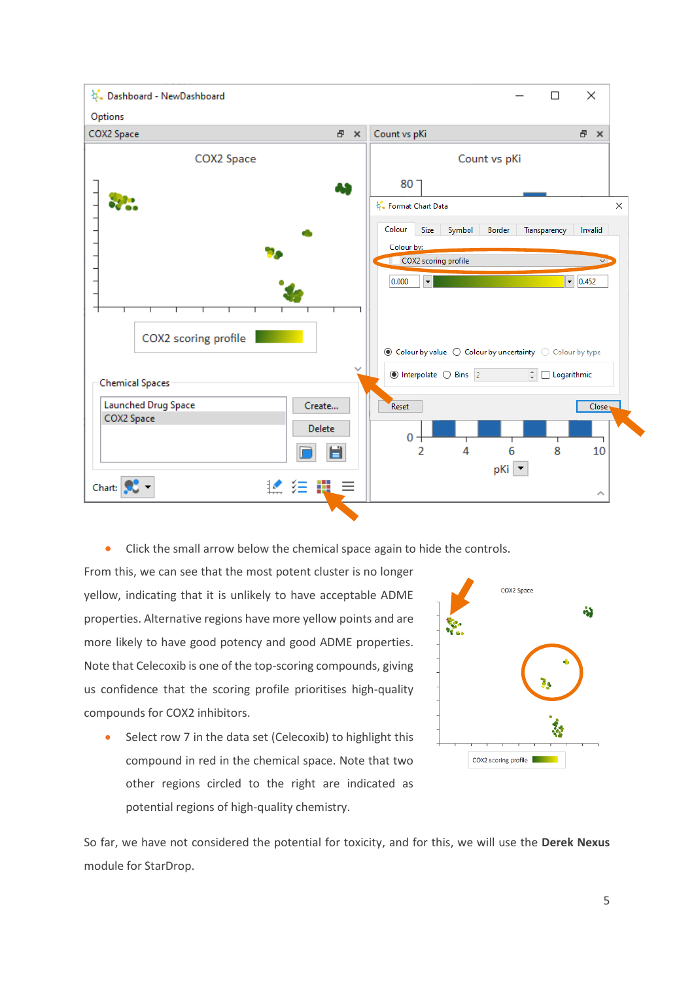

• Click the small arrow below the chemical space again to hide the controls.

From this, we can see that the most potent cluster is no longer yellow, indicating that it is unlikely to have acceptable ADME properties. Alternative regions have more yellow points and are more likely to have good potency and good ADME properties. Note that Celecoxib is one of the top-scoring compounds, giving us confidence that the scoring profile prioritises high-quality compounds for COX2 inhibitors.

Select row 7 in the data set (Celecoxib) to highlight this compound in red in the chemical space. Note that two other regions circled to the right are indicated as potential regions of high-quality chemistry.



So far, we have not considered the potential for toxicity, and for this, we will use the **Derek Nexus** module for StarDrop.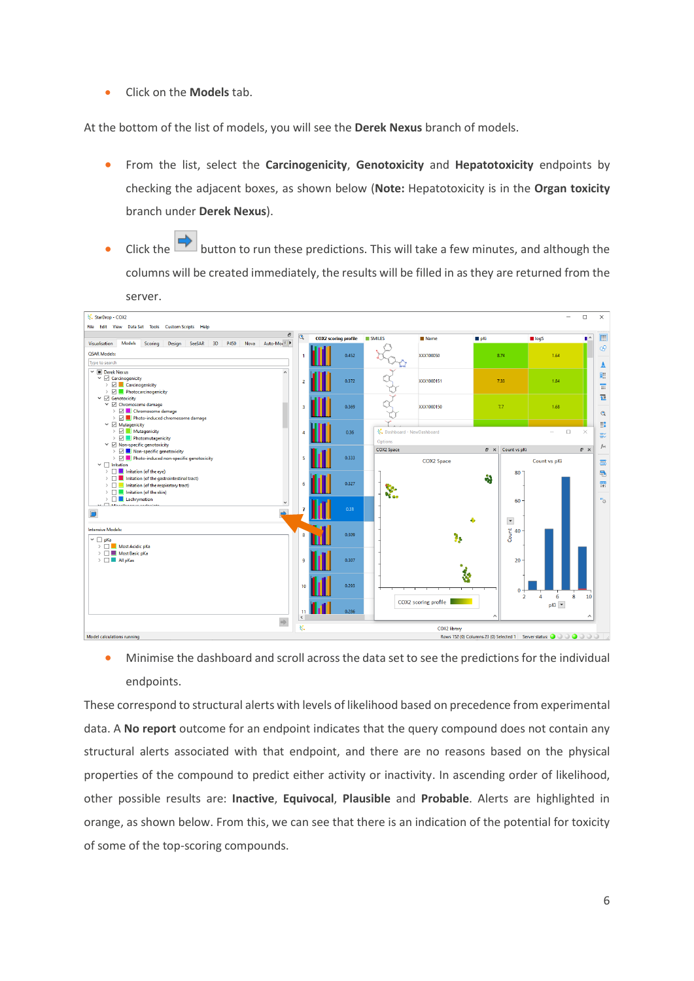• Click on the **Models** tab.

At the bottom of the list of models, you will see the **Derek Nexus** branch of models.

- From the list, select the **Carcinogenicity**, **Genotoxicity** and **Hepatotoxicity** endpoints by checking the adjacent boxes, as shown below (**Note:** Hepatotoxicity is in the **Organ toxicity** branch under **Derek Nexus**).
- Click the button to run these predictions. This will take a few minutes, and although the columns will be created immediately, the results will be filled in as they are returned from the server.



• Minimise the dashboard and scroll across the data set to see the predictions for the individual endpoints.

These correspond to structural alerts with levels of likelihood based on precedence from experimental data. A **No report** outcome for an endpoint indicates that the query compound does not contain any structural alerts associated with that endpoint, and there are no reasons based on the physical properties of the compound to predict either activity or inactivity. In ascending order of likelihood, other possible results are: **Inactive**, **Equivocal**, **Plausible** and **Probable**. Alerts are highlighted in orange, as shown below. From this, we can see that there is an indication of the potential for toxicity of some of the top-scoring compounds.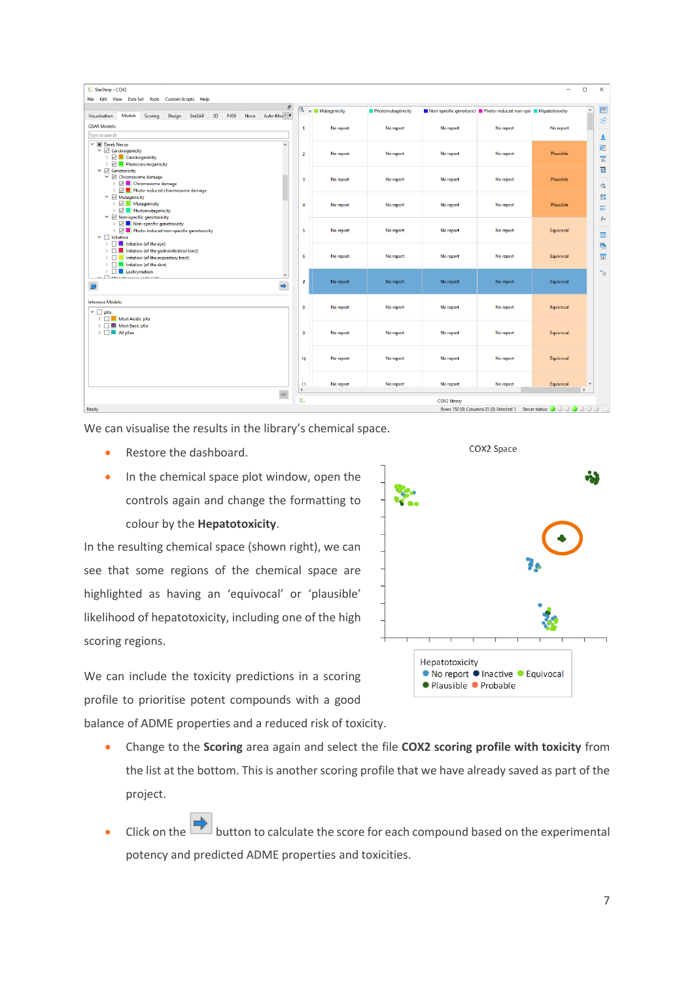| StarDrop - COX2<br>File Edit View Data Set Tools Custom Scripts Help                                                                                                                        |                         |                 |                   |              |                                                                           | -                | $\Box$        | ×                 |
|---------------------------------------------------------------------------------------------------------------------------------------------------------------------------------------------|-------------------------|-----------------|-------------------|--------------|---------------------------------------------------------------------------|------------------|---------------|-------------------|
| Ð<br><b>Models</b><br>SeeSAR<br>3D<br>P450<br>Nova<br>Visualisation<br>Scoring<br>Design<br>Auto-Mor <sup>4</sup>                                                                           | $\overline{\mathbf{Q}}$ | >s Mutagenicity | Photomutagenicity |              | Non-specific genotoxici Photo-induced non-spe PHepatotoxicity             |                  | $\land$       | 圖                 |
| <b>OSAR Models:</b>                                                                                                                                                                         | 1                       | No report       | No report         | No report    | No report                                                                 | No report        |               | œ                 |
| Type to search                                                                                                                                                                              |                         |                 |                   |              |                                                                           |                  |               | A                 |
| $\vee$ <b>III</b> Derek Nexus<br>$\lambda$<br>$\vee$ $\vee$ Carcinogenicity<br>$\triangleright \triangleright$ $\Box$ Carcinogenicity<br>$\triangleright$ $\heartsuit$ Photocarcinogenicity | $\overline{2}$          | No report       | No report         | No report    | No report                                                                 | Plausible        |               | 里<br>Ħ            |
| $\vee$ $\vee$ Genotoxicity<br>$\vee$ $\boxdot$ Chromosome damage<br>> < Chromosome damage<br>> < Photo-induced chromosome damage                                                            | $\overline{\mathbf{3}}$ | No report       | No report         | No report    | No report                                                                 | Plausible        |               | 但<br>$\mathbf{Q}$ |
| $\vee$ $\Box$ Mutagenicity<br>$\triangleright$ $\boxdot$ Mutagenicity<br>$\triangleright$ $\Box$ Photomutagenicity                                                                          | 4                       | No report       | No report         | No report    | No report                                                                 | <b>Plausible</b> |               | <b>III</b><br>影   |
| $\vee$ $\heartsuit$ Non-specific genotoxicity<br>> < Non-specific genotoxicity<br>> < Photo-induced non-specific genotoxicity<br>$\vee$ $\Box$ Irritation                                   | 5                       | No report       | No report         | No report    | No report                                                                 | Equivocal        |               | f(x)<br>靐         |
| $\triangleright$ $\Box$ Irritation (of the eye)<br>>     Irritation (of the respiratory tract)<br>$\triangleright$ $\Box$ Irritation (of the skin)                                          | 6                       | No report       | No report         | No report    | No report                                                                 | Equivocal        |               | 晶<br>盟            |
| $\angle$ $\Box$ Lachrymation<br>$\checkmark$<br><b>CONSTRUCTION</b><br>$\Rightarrow$<br>$\blacksquare$                                                                                      | $\overline{7}$          | No report       | No report         | No report    | No report                                                                 | Equivocal        |               | $\mathrm{^{R1}G}$ |
| <b>Intensive Models:</b><br>$\vee$ $\Box$ pKa<br>> Most Acidic pKa                                                                                                                          | 8                       | No report       | No report         | No report    | No report                                                                 | Equivocal        |               |                   |
| $\triangleright$ $\blacksquare$ Most Basic pKa<br>$\triangleright$ $\Box$ All pKas                                                                                                          | 9                       | No report       | No report         | No report    | No report                                                                 | Equivocal        |               |                   |
|                                                                                                                                                                                             | 10                      | No report       | No report         | No report    | No report                                                                 | Equivocal        |               |                   |
|                                                                                                                                                                                             | 11<br>$\langle$         | No report       | No report         | No report    | No report                                                                 | Equivocal        | $\rightarrow$ |                   |
| $\Rightarrow$<br>Ready                                                                                                                                                                      | 桨                       |                 |                   | COX2 library | Rows 152 (0) Columns 23 (0) Selected 1 Server status: (2) (2) (2) (2) (2) |                  |               |                   |

We can visualise the results in the library's chemical space.

- Restore the dashboard.
- In the chemical space plot window, open the controls again and change the formatting to colour by the **Hepatotoxicity**.

In the resulting chemical space (shown right), we can see that some regions of the chemical space are highlighted as having an 'equivocal' or 'plausible' likelihood of hepatotoxicity, including one of the high scoring regions.

Hepatotoxicity ● No report ● Inactive ● Equivocal ● Plausible ● Probable

COX2 Space

We can include the toxicity predictions in a scoring profile to prioritise potent compounds with a good

balance of ADME properties and a reduced risk of toxicity.

- Change to the **Scoring** area again and select the file **COX2 scoring profile with toxicity** from the list at the bottom. This is another scoring profile that we have already saved as part of the project.
- Click on the button to calculate the score for each compound based on the experimental potency and predicted ADME properties and toxicities.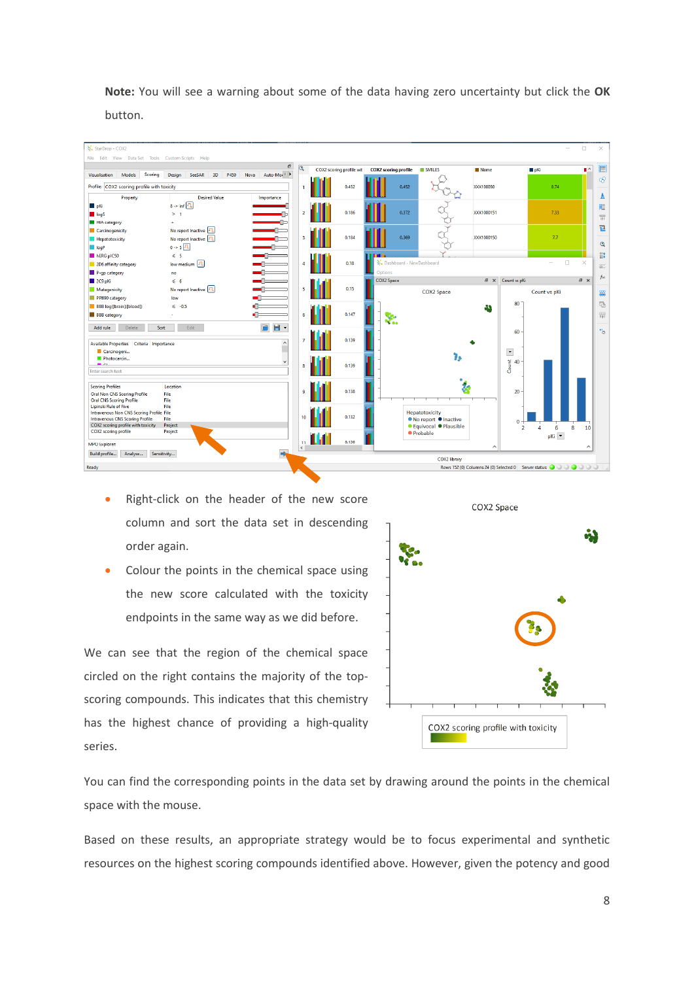**Note:** You will see a warning about some of the data having zero uncertainty but click the **OK** button.



- Right-click on the header of the new score column and sort the data set in descending order again.
- Colour the points in the chemical space using the new score calculated with the toxicity endpoints in the same way as we did before.

We can see that the region of the chemical space circled on the right contains the majority of the topscoring compounds. This indicates that this chemistry has the highest chance of providing a high-quality series.



You can find the corresponding points in the data set by drawing around the points in the chemical space with the mouse.

Based on these results, an appropriate strategy would be to focus experimental and synthetic resources on the highest scoring compounds identified above. However, given the potency and good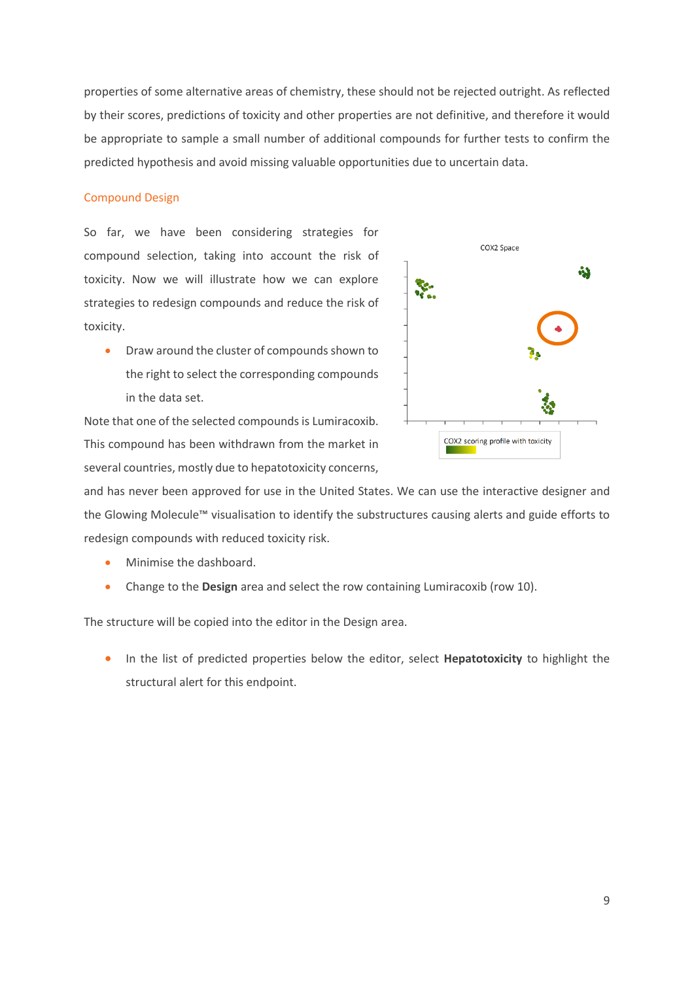properties of some alternative areas of chemistry, these should not be rejected outright. As reflected by their scores, predictions of toxicity and other properties are not definitive, and therefore it would be appropriate to sample a small number of additional compounds for further tests to confirm the predicted hypothesis and avoid missing valuable opportunities due to uncertain data.

#### Compound Design

So far, we have been considering strategies for compound selection, taking into account the risk of toxicity. Now we will illustrate how we can explore strategies to redesign compounds and reduce the risk of toxicity.

• Draw around the cluster of compounds shown to the right to select the corresponding compounds in the data set.

Note that one of the selected compounds is Lumiracoxib. This compound has been withdrawn from the market in several countries, mostly due to hepatotoxicity concerns,



and has never been approved for use in the United States. We can use the interactive designer and the Glowing Molecule™ visualisation to identify the substructures causing alerts and guide efforts to redesign compounds with reduced toxicity risk.

- Minimise the dashboard.
- Change to the **Design** area and select the row containing Lumiracoxib (row 10).

The structure will be copied into the editor in the Design area.

• In the list of predicted properties below the editor, select **Hepatotoxicity** to highlight the structural alert for this endpoint.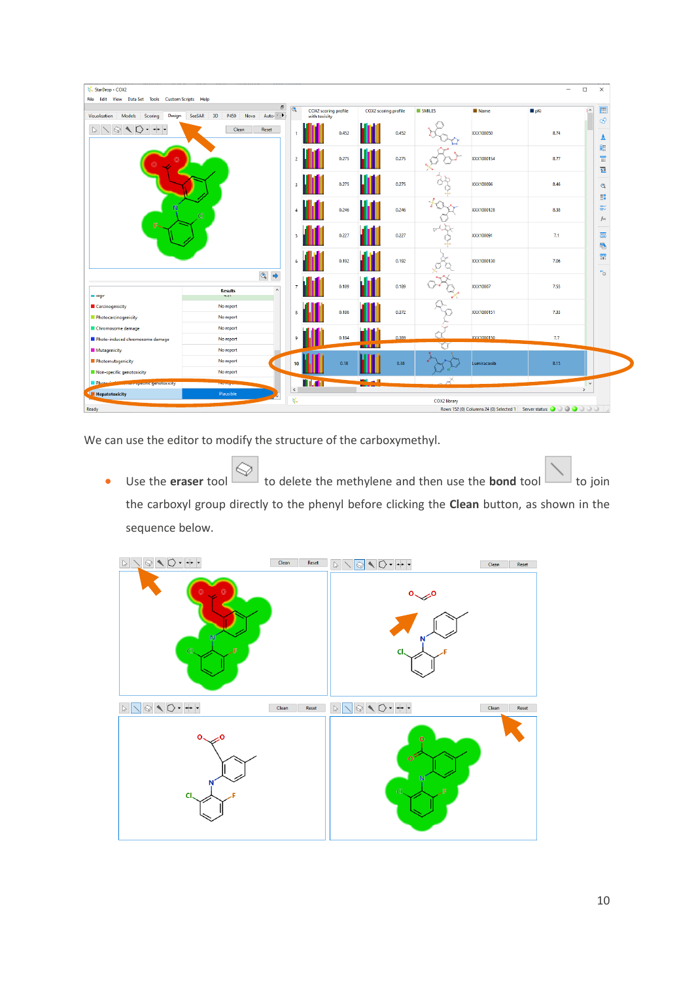| StarDrop - COX2<br>File Edit View Data Set Tools Custom Scripts Help           |                                                                 |                         |               |                             |                      |       |                     |             | $\Box$<br>-                                                                                                                                                       | $\times$                                 |
|--------------------------------------------------------------------------------|-----------------------------------------------------------------|-------------------------|---------------|-----------------------------|----------------------|-------|---------------------|-------------|-------------------------------------------------------------------------------------------------------------------------------------------------------------------|------------------------------------------|
| Design<br>Models<br>Scoring<br>Visualisation                                   | Ð<br>Auto-<br>3D<br>P450<br>SeeSAR<br>Nova                      | $\overline{\mathbf{Q}}$ | with toxicity | <b>COX2</b> scoring profile | COX2 scoring profile |       | <b>SMILES</b>       | <b>Name</b> | $\sim$<br>$p$ Ki                                                                                                                                                  | 圓                                        |
| $+$ $\cdot$<br>$\mathbb{P}$<br>$\odot$<br>$\sim$ 0<br>$\overline{\phantom{a}}$ | Clean<br>Reset                                                  |                         |               | 0.452                       |                      | 0.452 |                     | XXX100050   | 8.74                                                                                                                                                              | - අ<br>Δ                                 |
|                                                                                |                                                                 | $\overline{2}$          |               | 0.275                       |                      | 0.275 |                     | XXX1000154  | 8.77                                                                                                                                                              | 图<br>Ħ<br>但                              |
|                                                                                |                                                                 | -3                      |               | 0.275                       |                      | 0.275 |                     | XXX100096   | 8.46                                                                                                                                                              | ${\bf Q}$                                |
| N                                                                              | C1                                                              | $\boldsymbol{A}$        |               | 0.246                       |                      | 0.246 |                     | XXX1000128  | 8.38                                                                                                                                                              | 詳<br>罷<br>f(x)                           |
|                                                                                |                                                                 | 5                       |               | 0.227                       |                      | 0.227 |                     | XXX100091   | 7.1                                                                                                                                                               | 靐<br>縣                                   |
|                                                                                |                                                                 | 6                       |               | 0.192                       |                      | 0.192 |                     | XXX1000130  | 7.06                                                                                                                                                              | 盟<br>$\overset{\text{\tiny{R1}}}{\circ}$ |
| <b>m</b> togy                                                                  | $\circledcirc$<br>$\hat{\phantom{a}}$<br><b>Results</b><br>4.51 | $\overline{7}$          |               | 0.189                       |                      | 0.189 |                     | XXX10007    | 7.55                                                                                                                                                              |                                          |
| Carcinogenicity<br>Photocarcinogenicity                                        | No report<br>No report                                          | 8                       |               | 0.186                       |                      | 0.372 |                     | XXX1000151  | 7.33                                                                                                                                                              |                                          |
| Chromosome damage<br>Photo-induced chromosome damage                           | No report<br>No report                                          | $\overline{9}$          |               | 0.184                       | <b>THE R</b>         | 0.369 |                     | XXX1000150  | 7.7                                                                                                                                                               |                                          |
| Mutagenicity                                                                   | No report                                                       |                         |               |                             |                      |       |                     |             |                                                                                                                                                                   |                                          |
| Photomutagenicity                                                              | No report                                                       | 10                      |               | 0.18                        |                      | 0.36  |                     | Lumiracoxib | 8.15                                                                                                                                                              |                                          |
| Non-specific genotoxicity                                                      | No report                                                       |                         | Mar           |                             | المنابط              |       | X                   |             |                                                                                                                                                                   |                                          |
| <b>Photo</b><br><b>war specific genotoxicity</b><br>Hepatotoxicity             | <b>NUMBER</b><br>Plausible                                      | $\,$ $\,$               |               |                             |                      |       |                     |             | $\rightarrow$                                                                                                                                                     | $\vee$                                   |
| Ready                                                                          |                                                                 | 桨                       |               |                             |                      |       | <b>COX2 library</b> |             | Rows 152 (0) Columns 24 (0) Selected 1 Server status:<br><br><br><br><br><br><br><br><br><br><br><br><br><br><br><br><br><br><br><br><br><br><br><br><br><br><br> |                                          |

We can use the editor to modify the structure of the carboxymethyl.

• Use the **eraser** tool  $\Box$  to delete the methylene and then use the **bond** tool to join the carboxyl group directly to the phenyl before clicking the **Clean** button, as shown in the sequence below.